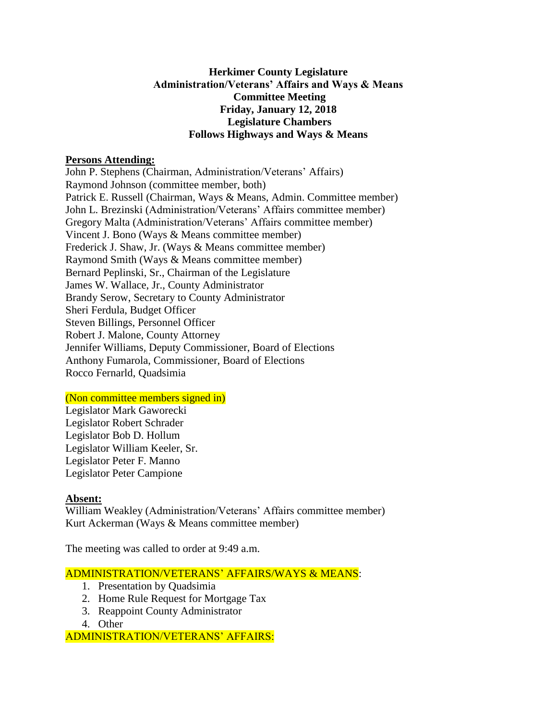# **Herkimer County Legislature Administration/Veterans' Affairs and Ways & Means Committee Meeting Friday, January 12, 2018 Legislature Chambers Follows Highways and Ways & Means**

### **Persons Attending:**

John P. Stephens (Chairman, Administration/Veterans' Affairs) Raymond Johnson (committee member, both) Patrick E. Russell (Chairman, Ways & Means, Admin. Committee member) John L. Brezinski (Administration/Veterans' Affairs committee member) Gregory Malta (Administration/Veterans' Affairs committee member) Vincent J. Bono (Ways & Means committee member) Frederick J. Shaw, Jr. (Ways & Means committee member) Raymond Smith (Ways & Means committee member) Bernard Peplinski, Sr., Chairman of the Legislature James W. Wallace, Jr., County Administrator Brandy Serow, Secretary to County Administrator Sheri Ferdula, Budget Officer Steven Billings, Personnel Officer Robert J. Malone, County Attorney Jennifer Williams, Deputy Commissioner, Board of Elections Anthony Fumarola, Commissioner, Board of Elections Rocco Fernarld, Quadsimia

# (Non committee members signed in)

Legislator Mark Gaworecki Legislator Robert Schrader Legislator Bob D. Hollum Legislator William Keeler, Sr. Legislator Peter F. Manno Legislator Peter Campione

# **Absent:**

William Weakley (Administration/Veterans' Affairs committee member) Kurt Ackerman (Ways & Means committee member)

The meeting was called to order at 9:49 a.m.

# ADMINISTRATION/VETERANS' AFFAIRS/WAYS & MEANS:

- 1. Presentation by Quadsimia
- 2. Home Rule Request for Mortgage Tax
- 3. Reappoint County Administrator
- 4. Other

ADMINISTRATION/VETERANS' AFFAIRS: